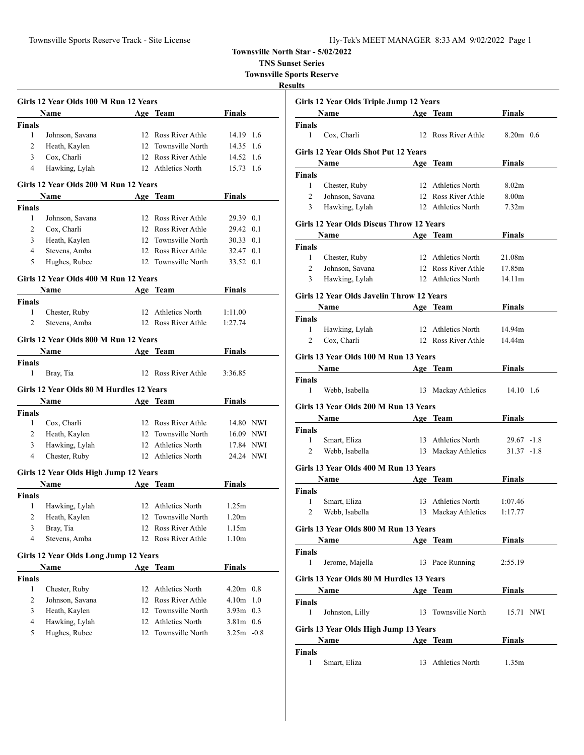**TNS Sunset Series**

**Townsville Sports Reserve**

|               | Girls 12 Year Olds 100 M Run 12 Years         |    |                        |                   |      |
|---------------|-----------------------------------------------|----|------------------------|-------------------|------|
|               | <b>Name</b>                                   |    | Age Team               | Finals            |      |
| Finals        |                                               |    |                        |                   |      |
| 1             | Johnson, Savana                               |    | 12 Ross River Athle    | 14.19 1.6         |      |
| 2             | Heath, Kaylen                                 |    | 12 Townsville North    | 14.35             | 1.6  |
| 3             | Cox, Charli                                   |    | 12 Ross River Athle    | 14.52 1.6         |      |
| 4             | Hawking, Lylah                                |    | 12 Athletics North     | 15.73             | -1.6 |
|               | Girls 12 Year Olds 200 M Run 12 Years         |    |                        |                   |      |
|               | Name                                          |    | Age Team               | Finals            |      |
| <b>Finals</b> |                                               |    |                        |                   |      |
| 1             | Johnson, Savana                               |    | 12 Ross River Athle    | 29.39 0.1         |      |
| 2             | Cox, Charli                                   |    | 12 Ross River Athle    | 29.42 0.1         |      |
| 3             | Heath, Kaylen                                 |    | 12 Townsville North    | 30.33 0.1         |      |
| 4             | Stevens, Amba                                 |    | 12 Ross River Athle    | 32.47 0.1         |      |
| 5             | Hughes, Rubee                                 |    | 12 Townsville North    | 33.52 0.1         |      |
|               | Girls 12 Year Olds 400 M Run 12 Years         |    |                        |                   |      |
|               | Name                                          |    | Age Team               | <b>Finals</b>     |      |
| Finals        |                                               |    |                        |                   |      |
| 1             | Chester, Ruby                                 |    | 12 Athletics North     | 1:11.00           |      |
| 2             | Stevens, Amba                                 |    | 12 Ross River Athle    | 1:27.74           |      |
|               | Girls 12 Year Olds 800 M Run 12 Years         |    |                        |                   |      |
|               | <b>Name</b>                                   |    | Age Team               | Finals            |      |
| <b>Finals</b> |                                               |    |                        |                   |      |
| 1             | Bray, Tia                                     |    | 12 Ross River Athle    | 3:36.85           |      |
|               | Girls 12 Year Olds 80 M Hurdles 12 Years      |    |                        |                   |      |
|               | Name                                          |    | Age Team               | Finals            |      |
| Finals        |                                               |    |                        |                   |      |
| 1             | Cox, Charli                                   |    | 12 Ross River Athle    | 14.80 NWI         |      |
| 2             | Heath, Kaylen                                 |    | 12 Townsville North    | 16.09 NWI         |      |
| 3             | Hawking, Lylah                                |    | 12 Athletics North     | 17.84 NWI         |      |
| 4             | Chester, Ruby                                 |    | 12 Athletics North     | 24.24 NWI         |      |
|               | Girls 12 Year Olds High Jump 12 Years         |    |                        |                   |      |
|               | Name                                          |    | Age Team               | <b>Finals</b>     |      |
| Finals        |                                               |    |                        |                   |      |
| 1             | Hawking, Lylah                                |    | 12 Athletics North     | 1.25m             |      |
| 2             | Heath, Kaylen                                 | 12 | Townsville North       | 1.20m             |      |
| 3             | Bray, Tia                                     |    | 12 Ross River Athle    | 1.15m             |      |
| 4             | Stevens, Amba                                 | 12 | Ross River Athle       | 1.10 <sub>m</sub> |      |
|               |                                               |    |                        |                   |      |
|               | Girls 12 Year Olds Long Jump 12 Years<br>Name |    | Age Team               | <b>Finals</b>     |      |
| <b>Finals</b> |                                               |    |                        |                   |      |
| 1             | Chester, Ruby                                 | 12 | Athletics North        | $4.20m$ 0.8       |      |
| 2             | Johnson, Savana                               | 12 | Ross River Athle       | 4.10 <sub>m</sub> | 1.0  |
| 3             | Heath, Kaylen                                 | 12 | Townsville North       | 3.93m             | 0.3  |
| 4             | Hawking, Lylah                                | 12 | <b>Athletics North</b> | $3.81m$ 0.6       |      |
| 5             | Hughes, Rubee                                 | 12 | Townsville North       | $3.25m - 0.8$     |      |
|               |                                               |    |                        |                   |      |

|                | Girls 12 Year Olds Triple Jump 12 Years   |                     |                   |  |
|----------------|-------------------------------------------|---------------------|-------------------|--|
|                | Name                                      | Age Team            | Finals            |  |
| Finals         |                                           |                     |                   |  |
| 1              | Cox, Charli                               | 12 Ross River Athle | $8.20m$ 0.6       |  |
|                | Girls 12 Year Olds Shot Put 12 Years      |                     |                   |  |
|                | Name                                      | Age Team            | Finals            |  |
| Finals         |                                           |                     |                   |  |
| $\mathbf{1}$   | Chester, Ruby                             | 12 Athletics North  | 8.02 <sub>m</sub> |  |
| $\overline{2}$ | Johnson, Savana                           | 12 Ross River Athle | 8.00m             |  |
| 3              | Hawking, Lylah                            | 12 Athletics North  | 7.32 <sub>m</sub> |  |
|                | Girls 12 Year Olds Discus Throw 12 Years  |                     |                   |  |
|                | Name                                      | Age Team            | Finals            |  |
| Finals         |                                           |                     |                   |  |
| 1              | Chester, Ruby                             | 12 Athletics North  | 21.08m            |  |
| 2              | Johnson, Savana                           | 12 Ross River Athle | 17.85m            |  |
| 3              | Hawking, Lylah                            | 12 Athletics North  | 14.11m            |  |
|                | Girls 12 Year Olds Javelin Throw 12 Years |                     |                   |  |
|                | Name                                      | Age Team            | Finals            |  |
| Finals         |                                           |                     |                   |  |
| 1              | Hawking, Lylah                            | 12 Athletics North  | 14.94m            |  |
| 2              | Cox, Charli                               | 12 Ross River Athle | 14.44m            |  |
|                |                                           |                     |                   |  |
|                | Girls 13 Year Olds 100 M Run 13 Years     |                     |                   |  |
|                | Name                                      | Age Team            | Finals            |  |
| Finals<br>1    | Webb, Isabella                            | 13 Mackay Athletics | 14.10 1.6         |  |
|                |                                           |                     |                   |  |
|                | Girls 13 Year Olds 200 M Run 13 Years     |                     |                   |  |
|                | <b>Name</b>                               | Age Team            | Finals            |  |
| Finals<br>1    |                                           | 13 Athletics North  |                   |  |
|                | Smart, Eliza                              |                     | 29.67 -1.8        |  |
| 2              | Webb, Isabella                            | 13 Mackay Athletics | $31.37 - 1.8$     |  |
|                | Girls 13 Year Olds 400 M Run 13 Years     |                     |                   |  |
|                | Name                                      | Age Team            | <b>Finals</b>     |  |
| <b>Finals</b>  |                                           |                     |                   |  |
| 1              | Smart, Eliza                              | 13 Athletics North  | 1:07.46           |  |
| $\overline{c}$ | Webb, Isabella                            | 13 Mackay Athletics | 1:17.77           |  |
|                | Girls 13 Year Olds 800 M Run 13 Years     |                     |                   |  |
|                | Name                                      | Age Team            | <b>Finals</b>     |  |
| Finals         |                                           |                     |                   |  |
| 1              | Jerome, Majella                           | 13 Pace Running     | 2:55.19           |  |
|                | Girls 13 Year Olds 80 M Hurdles 13 Years  |                     |                   |  |
|                | Name Age Team                             |                     | <b>Finals</b>     |  |
| Finals         |                                           |                     |                   |  |
| 1              | Johnston, Lilly                           | 13 Townsville North | 15.71 NWI         |  |
|                |                                           |                     |                   |  |
|                | Girls 13 Year Olds High Jump 13 Years     |                     |                   |  |
|                | Name                                      | Age Team            | <b>Finals</b>     |  |
| Finals         |                                           |                     |                   |  |
| 1              | Smart, Eliza                              | 13 Athletics North  | 1.35m             |  |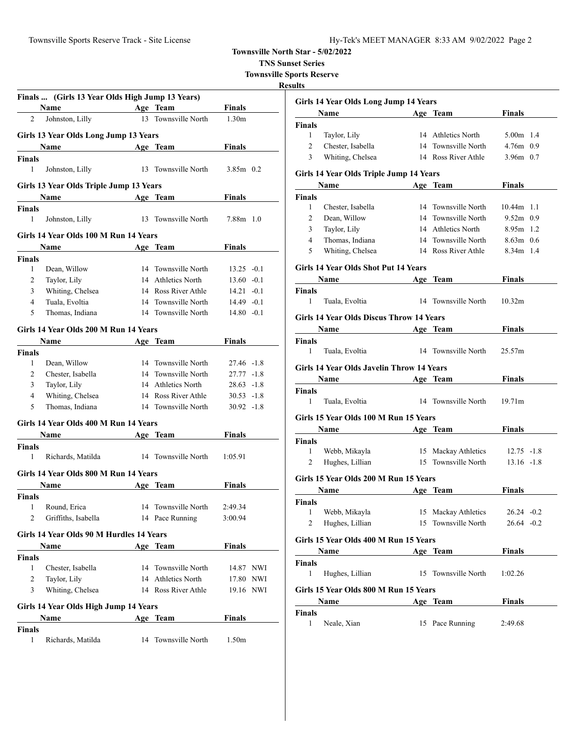**TNS Sunset Series**

**Townsville Sports Reserve**

|                | Finals  (Girls 13 Year Olds High Jump 13 Years) |    |                     |                   |  |
|----------------|-------------------------------------------------|----|---------------------|-------------------|--|
|                | <b>Age</b> Team<br>Name                         |    |                     | <b>Finals</b>     |  |
| 2              | Johnston, Lilly                                 |    | 13 Townsville North | 1.30 <sub>m</sub> |  |
|                | Girls 13 Year Olds Long Jump 13 Years           |    |                     |                   |  |
|                | Name                                            |    | Age Team            | <b>Finals</b>     |  |
| <b>Finals</b>  |                                                 |    |                     |                   |  |
| 1              | Johnston, Lilly                                 | 13 | Townsville North    | $3.85m$ 0.2       |  |
|                |                                                 |    |                     |                   |  |
|                | Girls 13 Year Olds Triple Jump 13 Years         |    |                     |                   |  |
|                | <b>Example 21 Age Team</b><br><b>Name</b>       |    |                     | Finals            |  |
| <b>Finals</b>  |                                                 |    |                     |                   |  |
| 1              | Johnston, Lilly                                 |    | 13 Townsville North | $7.88m$ 1.0       |  |
|                | Girls 14 Year Olds 100 M Run 14 Years           |    |                     |                   |  |
|                | Name                                            |    | Age Team            | Finals            |  |
| Finals         |                                                 |    |                     |                   |  |
| 1              | Dean, Willow                                    |    | 14 Townsville North | $13.25 -0.1$      |  |
| 2              | Taylor, Lily                                    |    | 14 Athletics North  | $13.60 - 0.1$     |  |
| 3              | Whiting, Chelsea                                |    | 14 Ross River Athle | $14.21 - 0.1$     |  |
| $\overline{4}$ | Tuala, Evoltia                                  |    | 14 Townsville North | $14.49 - 0.1$     |  |
| 5              | Thomas, Indiana                                 |    | 14 Townsville North | $14.80 - 0.1$     |  |
|                | Girls 14 Year Olds 200 M Run 14 Years           |    |                     |                   |  |
|                |                                                 |    |                     |                   |  |
|                | Name                                            |    | Age Team            | <b>Finals</b>     |  |
| <b>Finals</b>  |                                                 |    |                     |                   |  |
| 1              | Dean, Willow                                    |    | 14 Townsville North | 27.46 -1.8        |  |
| $\overline{2}$ | Chester, Isabella                               |    | 14 Townsville North | 27.77 -1.8        |  |
| 3              | Taylor, Lily                                    |    | 14 Athletics North  | $28.63 - 1.8$     |  |
| $\overline{4}$ | Whiting, Chelsea                                |    | 14 Ross River Athle | $30.53 -1.8$      |  |
| 5              | Thomas, Indiana                                 |    | 14 Townsville North | $30.92 -1.8$      |  |
|                | Girls 14 Year Olds 400 M Run 14 Years           |    |                     |                   |  |
|                | Name                                            |    | Age Team            | <b>Finals</b>     |  |
| Finals         |                                                 |    |                     |                   |  |
| 1              | Richards, Matilda                               |    | 14 Townsville North | 1:05.91           |  |
|                |                                                 |    |                     |                   |  |
|                | Girls 14 Year Olds 800 M Run 14 Years           |    |                     |                   |  |
|                | Name                                            |    | Age Team            | <b>Finals</b>     |  |
| Finals         |                                                 |    | 14 Townsville North |                   |  |
| 1              | Round, Erica<br>Griffiths, Isabella             |    |                     | 2:49.34           |  |
|                |                                                 |    | 14 Pace Running     | 3:00.94           |  |
|                | Girls 14 Year Olds 90 M Hurdles 14 Years        |    |                     |                   |  |
|                | Name                                            |    | Age Team            | <b>Finals</b>     |  |
| <b>Finals</b>  |                                                 |    |                     |                   |  |
| $\mathbf{1}$   | Chester, Isabella                               |    | 14 Townsville North | 14.87 NWI         |  |
| 2              | Taylor, Lily                                    |    | 14 Athletics North  | 17.80 NWI         |  |
| 3              | Whiting, Chelsea                                |    | 14 Ross River Athle | 19.16 NWI         |  |
|                |                                                 |    |                     |                   |  |
|                | Girls 14 Year Olds High Jump 14 Years           |    |                     |                   |  |
|                | Name                                            |    | Age Team            | Finals            |  |
| <b>Finals</b>  |                                                 |    |                     |                   |  |
| 1              | Richards, Matilda                               |    | 14 Townsville North | 1.50 <sub>m</sub> |  |

|                | Girls 14 Year Olds Long Jump 14 Years                |    |                     |                    |
|----------------|------------------------------------------------------|----|---------------------|--------------------|
|                | Name                                                 |    | Age Team            | Finals             |
| Finals         |                                                      |    |                     |                    |
| 1              | Taylor, Lily                                         |    | 14 Athletics North  | $5.00m$ 1.4        |
| $\overline{2}$ | Chester, Isabella                                    |    | 14 Townsville North | $4.76m$ 0.9        |
| 3              | Whiting, Chelsea                                     |    | 14 Ross River Athle | $3.96m$ 0.7        |
|                | Girls 14 Year Olds Triple Jump 14 Years              |    |                     |                    |
|                | Name<br><u>and the companion of the companion of</u> |    | Age Team            | <b>Finals</b>      |
| <b>Finals</b>  |                                                      |    |                     |                    |
| 1              | Chester, Isabella                                    |    | 14 Townsville North | 10.44m 1.1         |
| 2              | Dean, Willow                                         |    | 14 Townsville North | $9.52m$ 0.9        |
| 3              | Taylor, Lily                                         |    | 14 Athletics North  | $8.95m$ 1.2        |
| 4              | Thomas, Indiana                                      |    | 14 Townsville North | $8.63m$ 0.6        |
| 5              | Whiting, Chelsea                                     |    | 14 Ross River Athle | 8.34m 1.4          |
|                | <b>Girls 14 Year Olds Shot Put 14 Years</b>          |    |                     |                    |
|                | Name                                                 |    | Age Team            | Finals             |
| Finals         |                                                      |    |                     |                    |
| $\mathbf{1}$   | Tuala, Evoltia                                       |    | 14 Townsville North | 10.32m             |
|                | <b>Girls 14 Year Olds Discus Throw 14 Years</b>      |    |                     |                    |
|                | Name<br>Age Team                                     |    |                     | Finals             |
| Finals         |                                                      |    |                     |                    |
| 1              | Tuala, Evoltia                                       |    | 14 Townsville North | 25.57m             |
|                | Girls 14 Year Olds Javelin Throw 14 Years            |    |                     |                    |
|                | Name Age Team                                        |    |                     | <b>Finals</b>      |
| Finals         |                                                      |    |                     |                    |
| 1              | Tuala, Evoltia                                       |    | 14 Townsville North | 19.71 <sub>m</sub> |
|                | Girls 15 Year Olds 100 M Run 15 Years                |    |                     |                    |
|                | <b>Name</b>                                          |    | Age Team            | Finals             |
| <b>Finals</b>  |                                                      |    |                     |                    |
| 1              | Webb, Mikayla                                        |    | 15 Mackay Athletics | $12.75 - 1.8$      |
| $\overline{c}$ | Hughes, Lillian                                      |    | 15 Townsville North | $13.16 - 1.8$      |
|                | Girls 15 Year Olds 200 M Run 15 Years                |    |                     |                    |
|                | Name                                                 |    | Age Team            | <b>Finals</b>      |
| Finals         |                                                      |    |                     |                    |
| 1              | Webb, Mikayla                                        |    | 15 Mackay Athletics | $26.24 -0.2$       |
| 2              | Hughes, Lillian                                      |    | 15 Townsville North | $26.64 - 0.2$      |
|                | Girls 15 Year Olds 400 M Run 15 Years                |    |                     |                    |
|                | Name                                                 |    | Age Team            | <b>Finals</b>      |
| <b>Finals</b>  |                                                      |    |                     |                    |
| 1              | Hughes, Lillian                                      |    | 15 Townsville North | 1:02.26            |
|                | Girls 15 Year Olds 800 M Run 15 Years                |    |                     |                    |
|                | Name                                                 |    | Age Team            | Finals             |
| Finals         |                                                      |    |                     |                    |
| 1              | Neale, Xian                                          | 15 | Pace Running        | 2:49.68            |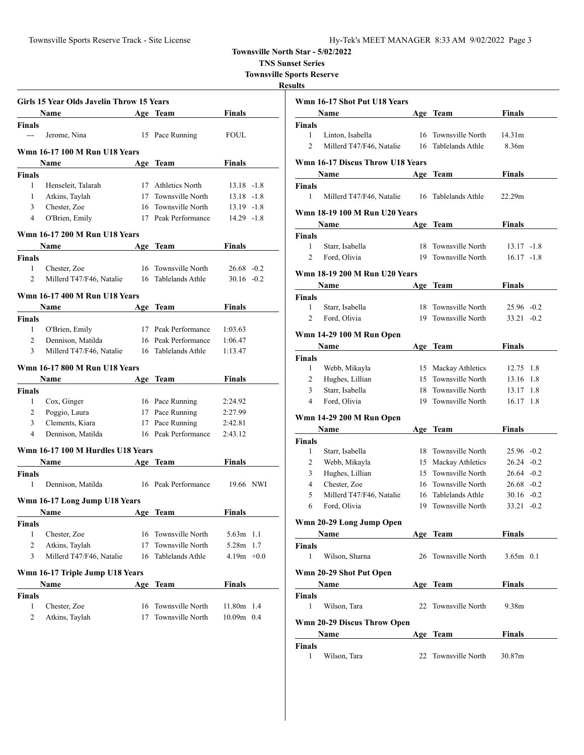**TNS Sunset Series**

**Townsville Sports Reserve**

| Girls 15 Year Olds Javelin Throw 15 Years                        |                                                                                                                                                                         |
|------------------------------------------------------------------|-------------------------------------------------------------------------------------------------------------------------------------------------------------------------|
| Finals<br>Age Team                                               |                                                                                                                                                                         |
|                                                                  |                                                                                                                                                                         |
| 15 Pace Running<br>FOUL                                          |                                                                                                                                                                         |
|                                                                  |                                                                                                                                                                         |
| Finals<br>Age Team                                               |                                                                                                                                                                         |
|                                                                  |                                                                                                                                                                         |
| 17 Athletics North                                               |                                                                                                                                                                         |
| 17 Townsville North                                              |                                                                                                                                                                         |
| 16 Townsville North                                              |                                                                                                                                                                         |
| 17 Peak Performance                                              |                                                                                                                                                                         |
|                                                                  |                                                                                                                                                                         |
| Finals<br><b>Team</b>                                            |                                                                                                                                                                         |
|                                                                  |                                                                                                                                                                         |
| 16 Townsville North                                              |                                                                                                                                                                         |
| 16 Tablelands Athle                                              |                                                                                                                                                                         |
|                                                                  |                                                                                                                                                                         |
| Age Team                                                         |                                                                                                                                                                         |
|                                                                  |                                                                                                                                                                         |
|                                                                  |                                                                                                                                                                         |
|                                                                  |                                                                                                                                                                         |
|                                                                  |                                                                                                                                                                         |
| 16 Tablelands Athle<br>1:13.47                                   |                                                                                                                                                                         |
|                                                                  |                                                                                                                                                                         |
|                                                                  |                                                                                                                                                                         |
| Finals<br>Age Team                                               |                                                                                                                                                                         |
|                                                                  |                                                                                                                                                                         |
| 16 Pace Running<br>2:24.92                                       |                                                                                                                                                                         |
| 17 Pace Running<br>2:27.99                                       |                                                                                                                                                                         |
| 17 Pace Running<br>2:42.81                                       |                                                                                                                                                                         |
| 16 Peak Performance<br>2:43.12                                   |                                                                                                                                                                         |
|                                                                  |                                                                                                                                                                         |
| <b>Finals</b><br>Age Team                                        |                                                                                                                                                                         |
|                                                                  |                                                                                                                                                                         |
| 16 Peak Performance<br>19.66 NWI                                 |                                                                                                                                                                         |
|                                                                  |                                                                                                                                                                         |
|                                                                  |                                                                                                                                                                         |
| Age Team<br>Finals                                               |                                                                                                                                                                         |
|                                                                  |                                                                                                                                                                         |
| Townsville North<br>5.63 <sub>m</sub>                            | 1.1                                                                                                                                                                     |
| Townsville North<br>5.28m                                        | 1.7                                                                                                                                                                     |
| Tablelands Athle<br>$4.19m + 0.0$                                |                                                                                                                                                                         |
|                                                                  |                                                                                                                                                                         |
| <b>Finals</b><br>Team                                            |                                                                                                                                                                         |
|                                                                  |                                                                                                                                                                         |
| Townsville North<br>11.80m 1.4<br>Townsville North<br>10.09m 0.4 |                                                                                                                                                                         |
|                                                                  | $13.18 - 1.8$<br>13.18 -1.8<br>13.19 -1.8<br>14.29 -1.8<br>$26.68 - 0.2$<br>$30.16 - 0.2$<br>Finals<br>17 Peak Performance<br>1:03.63<br>16 Peak Performance<br>1:06.47 |

|                    | Wmn 16-17 Shot Put U18 Years            |     |                     |               |  |
|--------------------|-----------------------------------------|-----|---------------------|---------------|--|
|                    | Name                                    |     | Age Team            | <b>Finals</b> |  |
| <b>Finals</b>      |                                         |     |                     |               |  |
| 1                  | Linton, Isabella                        |     | 16 Townsville North | 14.31m        |  |
| 2                  | Millerd T47/F46, Natalie                |     | 16 Tablelands Athle | 8.36m         |  |
|                    |                                         |     |                     |               |  |
|                    | <b>Wmn 16-17 Discus Throw U18 Years</b> |     |                     |               |  |
|                    | Name                                    | Age | Team                | Finals        |  |
| <b>Finals</b><br>1 |                                         |     | 16 Tablelands Athle | 22.29m        |  |
|                    | Millerd T47/F46, Natalie                |     |                     |               |  |
|                    | <b>Wmn 18-19 100 M Run U20 Years</b>    |     |                     |               |  |
|                    | Name                                    |     | Age Team            | Finals        |  |
| Finals             |                                         |     |                     |               |  |
| $\mathbf{1}$       | Starr, Isabella                         |     | 18 Townsville North | $13.17 - 1.8$ |  |
| $\overline{2}$     | Ford, Olivia                            | 19  | Townsville North    | $16.17 - 1.8$ |  |
|                    | <b>Wmn 18-19 200 M Run U20 Years</b>    |     |                     |               |  |
|                    | Name                                    |     | Age Team            | Finals        |  |
| <b>Finals</b>      |                                         |     |                     |               |  |
| 1                  | Starr, Isabella                         |     | 18 Townsville North | $25.96 -0.2$  |  |
| $\overline{c}$     | Ford, Olivia                            | 19  | Townsville North    | $33.21 - 0.2$ |  |
|                    |                                         |     |                     |               |  |
|                    | Wmn 14-29 100 M Run Open                |     |                     |               |  |
|                    | <b>Name</b>                             |     | Age Team            | Finals        |  |
| <b>Finals</b>      |                                         |     |                     |               |  |
| 1                  | Webb, Mikayla                           |     | 15 Mackay Athletics | 12.75 1.8     |  |
| 2                  | Hughes, Lillian                         |     | 15 Townsville North | 13.16 1.8     |  |
| 3                  | Starr, Isabella                         |     | 18 Townsville North | 13.17 1.8     |  |
| 4                  | Ford, Olivia                            |     | 19 Townsville North | 16.17 1.8     |  |
|                    | <b>Wmn 14-29 200 M Run Open</b>         |     |                     |               |  |
|                    | Name                                    |     | Age Team            | <b>Finals</b> |  |
| <b>Finals</b>      |                                         |     |                     |               |  |
| 1                  | Starr, Isabella                         |     | 18 Townsville North | 25.96 -0.2    |  |
| 2                  | Webb, Mikayla                           |     | 15 Mackay Athletics | $26.24 -0.2$  |  |
| 3                  | Hughes, Lillian                         |     | 15 Townsville North | $26.64 - 0.2$ |  |
| 4                  | Chester, Zoe                            |     | 16 Townsville North | $26.68 - 0.2$ |  |
| 5                  | Millerd T47/F46, Natalie                |     | 16 Tablelands Athle | $30.16 - 0.2$ |  |
| 6                  | Ford, Olivia                            | 19  | Townsville North    | $33.21 - 0.2$ |  |
|                    | Wmn 20-29 Long Jump Open                |     |                     |               |  |
|                    | Name                                    |     | Age Team            | <b>Finals</b> |  |
| Finals             |                                         |     |                     |               |  |
| 1                  | Wilson, Sharna                          |     | 26 Townsville North | $3.65m$ 0.1   |  |
|                    |                                         |     |                     |               |  |
|                    | Wmn 20-29 Shot Put Open                 |     |                     |               |  |
|                    | Name                                    |     | Age Team            | Finals        |  |
| Finals             |                                         |     |                     |               |  |
| 1                  | Wilson, Tara                            | 22  | Townsville North    | 9.38m         |  |
|                    | Wmn 20-29 Discus Throw Open             |     |                     |               |  |
|                    | Name                                    |     | Age Team            | <b>Finals</b> |  |
| <b>Finals</b>      |                                         |     |                     |               |  |
| 1                  | Wilson, Tara                            | 22  | Townsville North    | 30.87m        |  |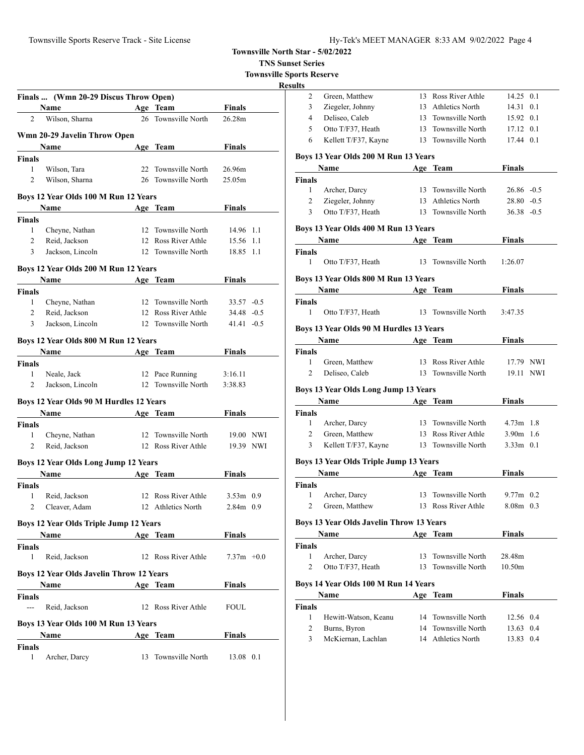**TNS Sunset Series**

**Townsville Sports Reserve**

|               | Finals  (Wmn 20-29 Discus Throw Open)           |    |                     |               |  |
|---------------|-------------------------------------------------|----|---------------------|---------------|--|
|               | Name                                            |    | Age Team            | Finals        |  |
| 2             | Wilson, Sharna                                  | 26 | Townsville North    | 26.28m        |  |
|               | Wmn 20-29 Javelin Throw Open                    |    |                     |               |  |
|               | Name                                            |    | Age Team            | Finals        |  |
| <b>Finals</b> |                                                 |    |                     |               |  |
| 1             | Wilson, Tara                                    |    | 22 Townsville North | 26.96m        |  |
| 2             | Wilson, Sharna                                  |    | 26 Townsville North | 25.05m        |  |
|               |                                                 |    |                     |               |  |
|               | Boys 12 Year Olds 100 M Run 12 Years            |    |                     |               |  |
|               | Name                                            |    | Age Team            | Finals        |  |
| Finals        |                                                 |    |                     |               |  |
| 1             | Cheyne, Nathan                                  |    | 12 Townsville North | 14.96 1.1     |  |
| $\mathbf{2}$  | Reid, Jackson                                   |    | 12 Ross River Athle | 15.56 1.1     |  |
| 3             | Jackson, Lincoln                                |    | 12 Townsville North | 18.85 1.1     |  |
|               |                                                 |    |                     |               |  |
|               | Boys 12 Year Olds 200 M Run 12 Years            |    |                     |               |  |
|               | <b>Name</b>                                     |    | Age Team            | Finals        |  |
| Finals        |                                                 |    |                     |               |  |
| 1             | Cheyne, Nathan                                  |    | 12 Townsville North | $33.57 - 0.5$ |  |
| 2             | Reid, Jackson                                   |    | 12 Ross River Athle | $34.48 - 0.5$ |  |
| 3             | Jackson, Lincoln                                |    | 12 Townsville North | $41.41 - 0.5$ |  |
|               | Boys 12 Year Olds 800 M Run 12 Years            |    |                     |               |  |
|               | Name                                            |    | Age Team            | <b>Finals</b> |  |
| Finals        |                                                 |    |                     |               |  |
| $\mathbf{1}$  | Neale, Jack                                     |    | 12 Pace Running     | 3:16.11       |  |
| 2             | Jackson, Lincoln                                |    | 12 Townsville North | 3:38.83       |  |
|               |                                                 |    |                     |               |  |
|               | Boys 12 Year Olds 90 M Hurdles 12 Years         |    |                     |               |  |
|               | <b>Name</b>                                     |    | Age Team            | Finals        |  |
| Finals        |                                                 |    |                     |               |  |
| 1             | Cheyne, Nathan                                  |    | 12 Townsville North | 19.00 NWI     |  |
| 2             | Reid, Jackson                                   |    | 12 Ross River Athle | 19.39 NWI     |  |
|               | Boys 12 Year Olds Long Jump 12 Years            |    |                     |               |  |
|               | Name                                            |    | Age Team            | <b>Finals</b> |  |
| <b>Finals</b> |                                                 |    |                     |               |  |
| 1             | Reid, Jackson                                   |    | 12 Ross River Athle | $3.53m$ 0.9   |  |
| 2             | Cleaver, Adam                                   |    | 12 Athletics North  | 2.84m 0.9     |  |
|               |                                                 |    |                     |               |  |
|               | <b>Boys 12 Year Olds Triple Jump 12 Years</b>   |    |                     |               |  |
|               | Name                                            |    | Age Team            | Finals        |  |
| Finals        |                                                 |    |                     |               |  |
| 1             | Reid, Jackson                                   |    | 12 Ross River Athle | $7.37m +0.0$  |  |
|               | <b>Boys 12 Year Olds Javelin Throw 12 Years</b> |    |                     |               |  |
|               | <b>Name</b>                                     |    |                     |               |  |
|               |                                                 |    | Age Team            | <b>Finals</b> |  |
| <b>Finals</b> |                                                 |    |                     |               |  |
| ---           | Reid, Jackson                                   |    | 12 Ross River Athle | <b>FOUL</b>   |  |
|               | Boys 13 Year Olds 100 M Run 13 Years            |    |                     |               |  |
|               | Name                                            |    | Age Team            | Finals        |  |
| Finals        |                                                 |    |                     |               |  |
| 1             | Archer, Darcy                                   | 13 | Townsville North    | 13.08 0.1     |  |
|               |                                                 |    |                     |               |  |

| ults                                 |                                          |                 |                                            |                            |           |  |  |  |
|--------------------------------------|------------------------------------------|-----------------|--------------------------------------------|----------------------------|-----------|--|--|--|
| 2                                    | Green, Matthew                           |                 | 13 Ross River Athle                        | 14.25 0.1                  |           |  |  |  |
| 3                                    | Ziegeler, Johnny                         |                 | 13 Athletics North                         | 14.31                      | 0.1       |  |  |  |
| 4                                    | Deliseo, Caleb                           |                 | 13 Townsville North                        | 15.92 0.1                  |           |  |  |  |
| 5                                    | Otto T/F37, Heath                        |                 | 13 Townsville North                        | 17.12 0.1                  |           |  |  |  |
| 6                                    | Kellett T/F37, Kayne                     |                 | 13 Townsville North                        | 17.44 0.1                  |           |  |  |  |
|                                      | Boys 13 Year Olds 200 M Run 13 Years     |                 |                                            |                            |           |  |  |  |
|                                      | Name                                     |                 | Age Team                                   | <b>Finals</b>              |           |  |  |  |
| <b>Finals</b>                        |                                          |                 |                                            |                            |           |  |  |  |
| 1                                    | Archer, Darcy                            | 13 <sup>7</sup> | Townsville North                           | 26.86 -0.5                 |           |  |  |  |
| 2                                    | Ziegeler, Johnny                         |                 | 13 Athletics North                         | $28.80 - 0.5$              |           |  |  |  |
| 3                                    | Otto T/F37, Heath                        |                 | 13 Townsville North                        | $36.38 - 0.5$              |           |  |  |  |
| Boys 13 Year Olds 400 M Run 13 Years |                                          |                 |                                            |                            |           |  |  |  |
|                                      | Name                                     |                 | Age Team                                   | Finals                     |           |  |  |  |
| <b>Finals</b><br>1                   | Otto T/F37, Heath                        |                 | 13 Townsville North                        | 1:26.07                    |           |  |  |  |
|                                      |                                          |                 |                                            |                            |           |  |  |  |
|                                      | Boys 13 Year Olds 800 M Run 13 Years     |                 |                                            |                            |           |  |  |  |
|                                      | Name                                     |                 | Age Team                                   | <b>Finals</b>              |           |  |  |  |
| Finals                               |                                          |                 |                                            |                            |           |  |  |  |
| 1                                    | Otto T/F37, Heath                        |                 | 13 Townsville North                        | 3:47.35                    |           |  |  |  |
|                                      | Boys 13 Year Olds 90 M Hurdles 13 Years  |                 |                                            |                            |           |  |  |  |
|                                      | Name                                     |                 | Age Team                                   | Finals                     |           |  |  |  |
| Finals                               |                                          |                 |                                            |                            |           |  |  |  |
| 1                                    | Green, Matthew                           |                 | 13 Ross River Athle                        | 17.79 NWI                  |           |  |  |  |
|                                      | Deliseo, Caleb                           |                 | 13 Townsville North                        |                            | 19.11 NWI |  |  |  |
| 2                                    |                                          |                 |                                            |                            |           |  |  |  |
|                                      |                                          |                 |                                            |                            |           |  |  |  |
|                                      | Boys 13 Year Olds Long Jump 13 Years     |                 |                                            |                            |           |  |  |  |
|                                      | Name                                     |                 | Age Team                                   | <b>Finals</b>              |           |  |  |  |
| Finals                               |                                          |                 |                                            |                            |           |  |  |  |
| 1                                    | Archer, Darcy                            |                 | 13 Townsville North                        | $4.73m$ 1.8                |           |  |  |  |
| 2<br>3                               | Green, Matthew                           |                 | 13 Ross River Athle<br>13 Townsville North | $3.90m$ 1.6<br>$3.33m$ 0.1 |           |  |  |  |
|                                      | Kellett T/F37, Kayne                     |                 |                                            |                            |           |  |  |  |
|                                      | Boys 13 Year Olds Triple Jump 13 Years   |                 |                                            |                            |           |  |  |  |
|                                      | Name                                     |                 | Age Team                                   | Finals                     |           |  |  |  |
| <b>Finals</b>                        |                                          |                 |                                            |                            |           |  |  |  |
| 1                                    | Archer, Darcy                            |                 | 13 Townsville North                        | $9.77m$ 0.2                |           |  |  |  |
| $\mathbf{2}$                         | Green. Matthew                           |                 | 13 Ross River Athle                        | $8.08m$ 0.3                |           |  |  |  |
|                                      | Boys 13 Year Olds Javelin Throw 13 Years |                 |                                            |                            |           |  |  |  |
|                                      | Name                                     |                 | Age Team                                   | <b>Finals</b>              |           |  |  |  |
| <b>Finals</b>                        |                                          |                 |                                            |                            |           |  |  |  |
| 1                                    | Archer, Darcy                            | 13              | Townsville North                           | 28.48m                     |           |  |  |  |
| $\overline{c}$                       | Otto T/F37, Heath                        | 13              | Townsville North                           | 10.50 <sub>m</sub>         |           |  |  |  |
|                                      | Boys 14 Year Olds 100 M Run 14 Years     |                 |                                            |                            |           |  |  |  |
|                                      | Name                                     |                 | Age Team                                   | <b>Finals</b>              |           |  |  |  |
| <b>Finals</b>                        |                                          |                 |                                            |                            |           |  |  |  |
| 1                                    | Hewitt-Watson, Keanu                     |                 | 14 Townsville North                        | 12.56 0.4                  |           |  |  |  |
| 2<br>3                               | Burns, Byron<br>McKiernan, Lachlan       |                 | 14 Townsville North<br>14 Athletics North  | 13.63 0.4<br>13.83 0.4     |           |  |  |  |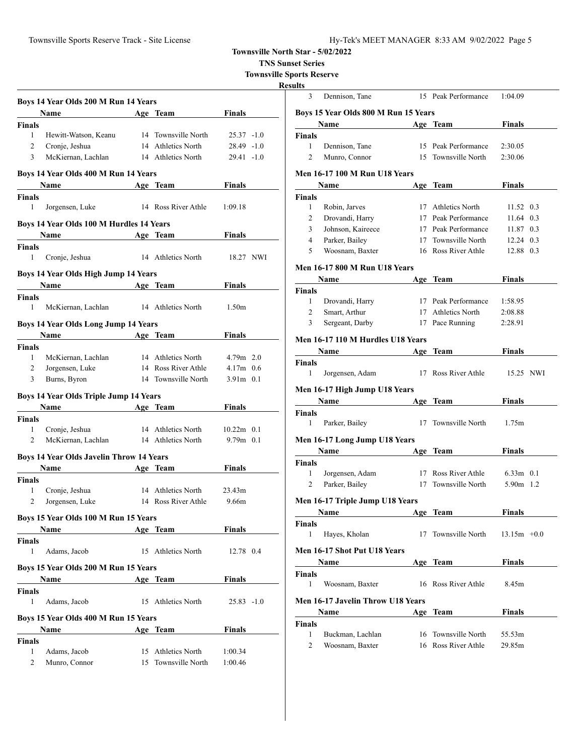Townsville Sports Reserve Track - Site License

| Hy-Tek's MEET MANAGER 8:33 AM 9/02/2022 Page 5 |  |  |  |
|------------------------------------------------|--|--|--|
|------------------------------------------------|--|--|--|

**Townsville North Star - 5/02/2022**

**TNS Sunset Series**

**Townsville Sports Reserve**

**Resu** 

|                               | Boys 14 Year Olds 200 M Run 14 Years                                                                                                                                                                                          |                     |                   |  |
|-------------------------------|-------------------------------------------------------------------------------------------------------------------------------------------------------------------------------------------------------------------------------|---------------------|-------------------|--|
|                               | Name                                                                                                                                                                                                                          | Age Team            | Finals            |  |
| <b>Finals</b>                 |                                                                                                                                                                                                                               |                     |                   |  |
| $\mathbf{1}$                  | Hewitt-Watson, Keanu                                                                                                                                                                                                          | 14 Townsville North | $25.37 -1.0$      |  |
| $\overline{2}$                | Cronje, Jeshua                                                                                                                                                                                                                | 14 Athletics North  | $28.49 -1.0$      |  |
| 3                             | McKiernan, Lachlan                                                                                                                                                                                                            | 14 Athletics North  | $29.41 - 1.0$     |  |
|                               | Boys 14 Year Olds 400 M Run 14 Years                                                                                                                                                                                          |                     |                   |  |
|                               | Name                                                                                                                                                                                                                          | Age Team            | Finals            |  |
| <b>Finals</b>                 |                                                                                                                                                                                                                               |                     |                   |  |
| 1                             | Jorgensen, Luke                                                                                                                                                                                                               | 14 Ross River Athle | 1:09.18           |  |
|                               | Boys 14 Year Olds 100 M Hurdles 14 Years                                                                                                                                                                                      |                     |                   |  |
|                               | <b>Name</b>                                                                                                                                                                                                                   | Age Team            | Finals            |  |
| <b>Finals</b><br>1            |                                                                                                                                                                                                                               | 14 Athletics North  | 18.27 NWI         |  |
|                               | Cronje, Jeshua                                                                                                                                                                                                                |                     |                   |  |
|                               | Boys 14 Year Olds High Jump 14 Years                                                                                                                                                                                          |                     |                   |  |
|                               | <b>Name</b>                                                                                                                                                                                                                   | Age Team            | Finals            |  |
| <b>Finals</b><br>$\mathbf{1}$ | McKiernan, Lachlan                                                                                                                                                                                                            | 14 Athletics North  | 1.50 <sub>m</sub> |  |
|                               |                                                                                                                                                                                                                               |                     |                   |  |
|                               | <b>Boys 14 Year Olds Long Jump 14 Years</b>                                                                                                                                                                                   |                     |                   |  |
|                               | <b>Name</b>                                                                                                                                                                                                                   | Age Team            | Finals            |  |
| <b>Finals</b>                 |                                                                                                                                                                                                                               |                     |                   |  |
| $\mathbf{1}$                  | McKiernan, Lachlan                                                                                                                                                                                                            | 14 Athletics North  | $4.79m$ 2.0       |  |
| 2                             | Jorgensen, Luke                                                                                                                                                                                                               | 14 Ross River Athle | $4.17m$ 0.6       |  |
| 3                             | Burns, Byron                                                                                                                                                                                                                  | 14 Townsville North | $3.91m$ 0.1       |  |
|                               | <b>Boys 14 Year Olds Triple Jump 14 Years</b>                                                                                                                                                                                 |                     |                   |  |
|                               | Name and the same state of the state of the state of the state of the state of the state of the state of the state of the state of the state of the state of the state of the state of the state of the state of the state of | Age Team            | Finals            |  |
| <b>Finals</b>                 |                                                                                                                                                                                                                               |                     |                   |  |
| 1                             | Cronje, Jeshua                                                                                                                                                                                                                | 14 Athletics North  | $10.22m$ 0.1      |  |
| $\overline{c}$                | McKiernan, Lachlan                                                                                                                                                                                                            | 14 Athletics North  | $9.79m$ 0.1       |  |
|                               | <b>Boys 14 Year Olds Javelin Throw 14 Years</b>                                                                                                                                                                               |                     |                   |  |
|                               | Name                                                                                                                                                                                                                          | Age Team            | Finals            |  |
| <b>Finals</b>                 |                                                                                                                                                                                                                               |                     |                   |  |
| 1                             | Cronje, Jeshua                                                                                                                                                                                                                | 14 Athletics North  | 23.43m            |  |
| 2                             | Jorgensen, Luke                                                                                                                                                                                                               | 14 Ross River Athle | 9.66m             |  |
|                               | Boys 15 Year Olds 100 M Run 15 Years                                                                                                                                                                                          |                     |                   |  |
|                               | Name                                                                                                                                                                                                                          | Age Team            | Finals            |  |
| <b>Finals</b>                 |                                                                                                                                                                                                                               |                     |                   |  |
| 1                             | Adams, Jacob                                                                                                                                                                                                                  | 15 Athletics North  | 12.78 0.4         |  |
|                               | Boys 15 Year Olds 200 M Run 15 Years                                                                                                                                                                                          |                     |                   |  |
|                               | Name                                                                                                                                                                                                                          | Age Team            | <b>Finals</b>     |  |
| <b>Finals</b>                 |                                                                                                                                                                                                                               |                     |                   |  |
| 1                             | Adams, Jacob                                                                                                                                                                                                                  | 15 Athletics North  | $25.83 - 1.0$     |  |
|                               | Boys 15 Year Olds 400 M Run 15 Years                                                                                                                                                                                          |                     |                   |  |
|                               | Name                                                                                                                                                                                                                          | Age Team            | Finals            |  |
| <b>Finals</b>                 |                                                                                                                                                                                                                               |                     |                   |  |
| 1                             | Adams, Jacob                                                                                                                                                                                                                  | 15 Athletics North  | 1:00.34           |  |
| 2                             | Munro, Connor                                                                                                                                                                                                                 | 15 Townsville North | 1:00.46           |  |
|                               |                                                                                                                                                                                                                               |                     |                   |  |

| ılts                                 |                                       |            |                     |               |  |  |  |  |
|--------------------------------------|---------------------------------------|------------|---------------------|---------------|--|--|--|--|
| 3                                    | Dennison, Tane                        |            | 15 Peak Performance | 1:04.09       |  |  |  |  |
| Boys 15 Year Olds 800 M Run 15 Years |                                       |            |                     |               |  |  |  |  |
|                                      | Name                                  |            | Age Team            | Finals        |  |  |  |  |
| Finals                               |                                       |            |                     |               |  |  |  |  |
| 1                                    | Dennison, Tane                        |            | 15 Peak Performance | 2:30.05       |  |  |  |  |
| 2                                    | Munro, Connor                         |            | 15 Townsville North | 2:30.06       |  |  |  |  |
|                                      |                                       |            |                     |               |  |  |  |  |
|                                      | Men 16-17 100 M Run U18 Years<br>Name |            | Age Team            | Finals        |  |  |  |  |
| Finals                               |                                       |            |                     |               |  |  |  |  |
| 1                                    |                                       |            | 17 Athletics North  | 11.52 0.3     |  |  |  |  |
|                                      | Robin, Jarves                         |            |                     |               |  |  |  |  |
| 2                                    | Drovandi, Harry                       |            | 17 Peak Performance | 11.64 0.3     |  |  |  |  |
| 3                                    | Johnson, Kaireece                     |            | 17 Peak Performance | 11.87 0.3     |  |  |  |  |
| 4                                    | Parker, Bailey                        |            | 17 Townsville North | 12.24 0.3     |  |  |  |  |
| 5                                    | Woosnam, Baxter                       |            | 16 Ross River Athle | 12.88 0.3     |  |  |  |  |
|                                      | Men 16-17 800 M Run U18 Years         |            |                     |               |  |  |  |  |
|                                      | Name                                  |            | Age Team            | <b>Finals</b> |  |  |  |  |
| <b>Finals</b>                        |                                       |            |                     |               |  |  |  |  |
| 1                                    | Drovandi, Harry                       |            | 17 Peak Performance | 1:58.95       |  |  |  |  |
| $\overline{c}$                       | Smart, Arthur                         |            | 17 Athletics North  | 2:08.88       |  |  |  |  |
| 3                                    | Sergeant, Darby                       | 17         | Pace Running        | 2:28.91       |  |  |  |  |
|                                      | Men 16-17 110 M Hurdles U18 Years     |            |                     |               |  |  |  |  |
|                                      | Name                                  | Age        | <b>Team</b>         | <b>Finals</b> |  |  |  |  |
| Finals                               |                                       |            |                     |               |  |  |  |  |
| $\mathbf{1}$                         | Jorgensen, Adam                       |            | 17 Ross River Athle | 15.25 NWI     |  |  |  |  |
|                                      | Men 16-17 High Jump U18 Years         |            |                     |               |  |  |  |  |
|                                      | Name                                  |            | Age Team            | Finals        |  |  |  |  |
| Finals                               |                                       |            |                     |               |  |  |  |  |
| 1                                    | Parker, Bailey                        | 17         | Townsville North    | 1.75m         |  |  |  |  |
|                                      | Men 16-17 Long Jump U18 Years         |            |                     |               |  |  |  |  |
|                                      | Name                                  |            | Age Team            | Finals        |  |  |  |  |
| Finals                               |                                       |            |                     |               |  |  |  |  |
| 1                                    | Jorgensen, Adam                       |            | 17 Ross River Athle | $6.33m$ 0.1   |  |  |  |  |
| 2                                    | Parker, Bailey                        | 17         | Townsville North    | 5.90m 1.2     |  |  |  |  |
|                                      |                                       |            |                     |               |  |  |  |  |
| Men 16-17 Triple Jump U18 Years      |                                       |            |                     |               |  |  |  |  |
|                                      | <u>Name</u>                           | <u>Age</u> | <u>Team</u>         | <u>Finals</u> |  |  |  |  |
| Finals                               |                                       |            |                     |               |  |  |  |  |
| 1                                    | Hayes, Kholan                         | 17         | Townsville North    | $13.15m +0.0$ |  |  |  |  |
|                                      | Men 16-17 Shot Put U18 Years          |            |                     |               |  |  |  |  |
|                                      | Name                                  |            | Age Team            | <b>Finals</b> |  |  |  |  |
| Finals                               |                                       |            |                     |               |  |  |  |  |
| 1                                    | Woosnam, Baxter                       |            | 16 Ross River Athle | 8.45m         |  |  |  |  |
|                                      | Men 16-17 Javelin Throw U18 Years     |            |                     |               |  |  |  |  |
|                                      | Name                                  |            | Age Team            | Finals        |  |  |  |  |
| Finals                               |                                       |            |                     |               |  |  |  |  |
| 1                                    | Buckman, Lachlan                      |            | 16 Townsville North | 55.53m        |  |  |  |  |
| 2                                    | Woosnam, Baxter                       |            | 16 Ross River Athle | 29.85m        |  |  |  |  |
|                                      |                                       |            |                     |               |  |  |  |  |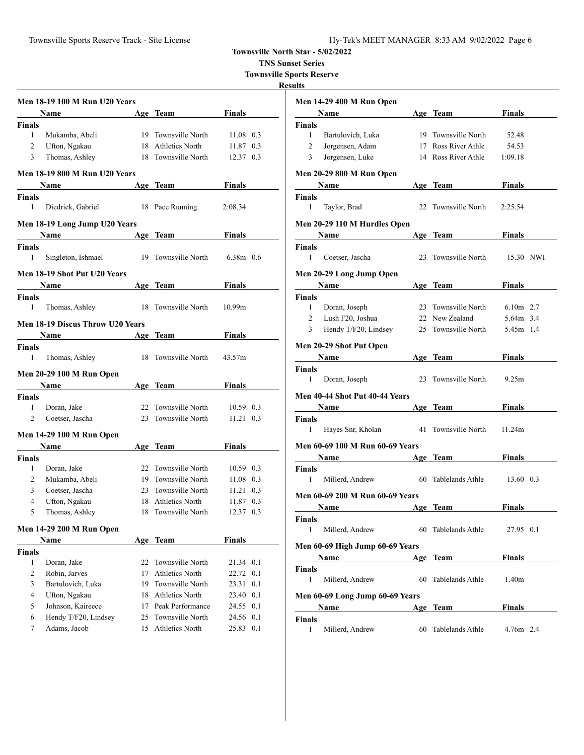**TNS Sunset Series**

**Townsville Sports Reserve**

|                | Men 18-19 100 M Run U20 Years        |    |                        |                    |     |
|----------------|--------------------------------------|----|------------------------|--------------------|-----|
|                | Name                                 |    | Age Team               | Finals             |     |
| <b>Finals</b>  |                                      |    |                        |                    |     |
| $\mathbf{1}$   | Mukamba, Abeli                       |    | 19 Townsville North    | 11.08 0.3          |     |
| 2              | Ufton, Ngakau                        |    | 18 Athletics North     | 11.87              | 0.3 |
| 3              | Thomas, Ashley                       |    | 18 Townsville North    | 12.37 0.3          |     |
|                | <b>Men 18-19 800 M Run U20 Years</b> |    |                        |                    |     |
|                | Name                                 |    | Age Team               | Finals             |     |
| <b>Finals</b>  |                                      |    |                        |                    |     |
| 1              | Diedrick, Gabriel                    |    | 18 Pace Running        | 2:08.34            |     |
|                | Men 18-19 Long Jump U20 Years        |    |                        |                    |     |
|                | <b>Name</b>                          |    | Age Team               | Finals             |     |
| <b>Finals</b>  |                                      |    |                        |                    |     |
| $\mathbf{1}$   | Singleton, Ishmael                   |    | 19 Townsville North    | $6.38m$ 0.6        |     |
|                | Men 18-19 Shot Put U20 Years         |    |                        |                    |     |
|                | Name                                 |    | Age Team               | Finals             |     |
| <b>Finals</b>  |                                      |    |                        |                    |     |
| 1              | Thomas, Ashley                       | 18 | Townsville North       | 10.99 <sub>m</sub> |     |
|                | Men 18-19 Discus Throw U20 Years     |    |                        |                    |     |
|                | <b>Name</b>                          |    | Age Team               | <b>Finals</b>      |     |
| Finals         |                                      |    |                        |                    |     |
| 1              | Thomas, Ashley                       |    | 18 Townsville North    | 43.57m             |     |
|                | Men 20-29 100 M Run Open             |    |                        |                    |     |
|                | Name                                 |    | Age Team               | Finals             |     |
| <b>Finals</b>  |                                      |    |                        |                    |     |
| 1              | Doran, Jake                          |    | 22 Townsville North    | 10.59 0.3          |     |
| 2              | Coetser, Jascha                      |    | 23 Townsville North    | $11.21 \quad 0.3$  |     |
|                | <b>Men 14-29 100 M Run Open</b>      |    |                        |                    |     |
|                | Name                                 |    | Age Team               | Finals             |     |
| <b>Finals</b>  |                                      |    |                        |                    |     |
| 1              | Doran, Jake                          |    | 22 Townsville North    | 10.59 0.3          |     |
| 2              | Mukamba, Abeli                       |    | 19 Townsville North    | 11.08 0.3          |     |
| 3              | Coetser, Jascha                      |    | 23 Townsville North    | 11.21              | 0.3 |
| $\overline{4}$ | Ufton, Ngakau                        |    | 18 Athletics North     | 11.87              | 0.3 |
| 5              | Thomas, Ashley                       | 18 | Townsville North       | 12.37              | 0.3 |
|                | Men 14-29 200 M Run Open             |    |                        |                    |     |
|                | Name                                 |    | Age Team               | Finals             |     |
| <b>Finals</b>  |                                      |    |                        |                    |     |
| 1              | Doran, Jake                          | 22 | Townsville North       | 21.34 0.1          |     |
|                | Robin, Jarves                        | 17 | <b>Athletics North</b> | 22.72              | 0.1 |
| 2              |                                      |    |                        |                    |     |
| 3              | Bartulovich, Luka                    |    | 19 Townsville North    | 23.31              | 0.1 |
| $\overline{4}$ | Ufton, Ngakau                        |    | 18 Athletics North     | 23.40 0.1          |     |
| 5              | Johnson, Kaireece                    |    | 17 Peak Performance    | 24.55 0.1          |     |
| 6<br>7         | Hendy T/F20, Lindsey<br>Adams, Jacob |    | 25 Townsville North    | 24.56 0.1          |     |

|                                        | <b>Men 14-29 400 M Run Open</b>        |    |                     |               |  |  |  |  |  |
|----------------------------------------|----------------------------------------|----|---------------------|---------------|--|--|--|--|--|
|                                        | Name                                   |    | Age Team            | Finals        |  |  |  |  |  |
| Finals                                 |                                        |    |                     |               |  |  |  |  |  |
| 1                                      | Bartulovich, Luka                      |    | 19 Townsville North | 52.48         |  |  |  |  |  |
| 2                                      | Jorgensen, Adam                        |    | 17 Ross River Athle | 54.53         |  |  |  |  |  |
| 3                                      | Jorgensen, Luke                        |    | 14 Ross River Athle | 1:09.18       |  |  |  |  |  |
|                                        | <b>Men 20-29 800 M Run Open</b>        |    |                     |               |  |  |  |  |  |
|                                        | Name                                   |    | Age Team            | Finals        |  |  |  |  |  |
| Finals                                 |                                        |    |                     |               |  |  |  |  |  |
| 1                                      | Taylor, Brad                           | 22 | Townsville North    | 2:25.54       |  |  |  |  |  |
|                                        | Men 20-29 110 M Hurdles Open           |    |                     |               |  |  |  |  |  |
|                                        | <b>Name</b>                            |    | Age Team            | Finals        |  |  |  |  |  |
| Finals                                 |                                        |    |                     |               |  |  |  |  |  |
| 1                                      | Coetser, Jascha                        |    | 23 Townsville North | 15.30 NWI     |  |  |  |  |  |
|                                        | Men 20-29 Long Jump Open               |    |                     |               |  |  |  |  |  |
|                                        | Name                                   |    | Age Team            | Finals        |  |  |  |  |  |
| Finals                                 |                                        |    |                     |               |  |  |  |  |  |
| 1                                      | Doran, Joseph                          |    | 23 Townsville North | $6.10m$ 2.7   |  |  |  |  |  |
| $\overline{2}$                         | Lush F20, Joshua                       |    | 22 New Zealand      | 5.64m 3.4     |  |  |  |  |  |
| 3                                      | Hendy T/F20, Lindsey                   |    | 25 Townsville North | 5.45m 1.4     |  |  |  |  |  |
|                                        | Men 20-29 Shot Put Open                |    |                     |               |  |  |  |  |  |
|                                        | Name                                   |    | Age Team            | Finals        |  |  |  |  |  |
| <b>Finals</b><br>1                     | Doran, Joseph                          | 23 | Townsville North    | 9.25m         |  |  |  |  |  |
|                                        |                                        |    |                     |               |  |  |  |  |  |
|                                        | Men 40-44 Shot Put 40-44 Years         |    |                     |               |  |  |  |  |  |
|                                        | <b>Name</b>                            |    | Age Team            | Finals        |  |  |  |  |  |
| <b>Finals</b>                          |                                        |    |                     |               |  |  |  |  |  |
| 1                                      | Hayes Snr, Kholan                      |    | 41 Townsville North | 11.24m        |  |  |  |  |  |
| <b>Men 60-69 100 M Run 60-69 Years</b> |                                        |    |                     |               |  |  |  |  |  |
|                                        | Name                                   |    | Age Team            | Finals        |  |  |  |  |  |
| Finals<br>1                            | Millerd, Andrew                        | 60 | Tablelands Athle    | 13.60 0.3     |  |  |  |  |  |
|                                        | <b>Men 60-69 200 M Run 60-69 Years</b> |    |                     |               |  |  |  |  |  |
|                                        | <b>Name</b>                            |    |                     | Finals        |  |  |  |  |  |
|                                        |                                        |    | Age Team            |               |  |  |  |  |  |
| Finals<br>1                            | Millerd, Andrew                        |    | 60 Tablelands Athle | 27.95 0.1     |  |  |  |  |  |
|                                        | Men 60-69 High Jump 60-69 Years        |    |                     |               |  |  |  |  |  |
|                                        | Name                                   |    | Age Team            | <b>Finals</b> |  |  |  |  |  |
| <b>Finals</b>                          |                                        |    |                     |               |  |  |  |  |  |
| 1                                      | Millerd, Andrew                        | 60 | Tablelands Athle    | 1.40m         |  |  |  |  |  |
|                                        | Men 60-69 Long Jump 60-69 Years        |    |                     |               |  |  |  |  |  |
|                                        | Name                                   |    | Age Team            | Finals        |  |  |  |  |  |
| Finals                                 |                                        |    |                     |               |  |  |  |  |  |
| 1                                      | Millerd, Andrew                        | 60 | Tablelands Athle    | 4.76m 2.4     |  |  |  |  |  |